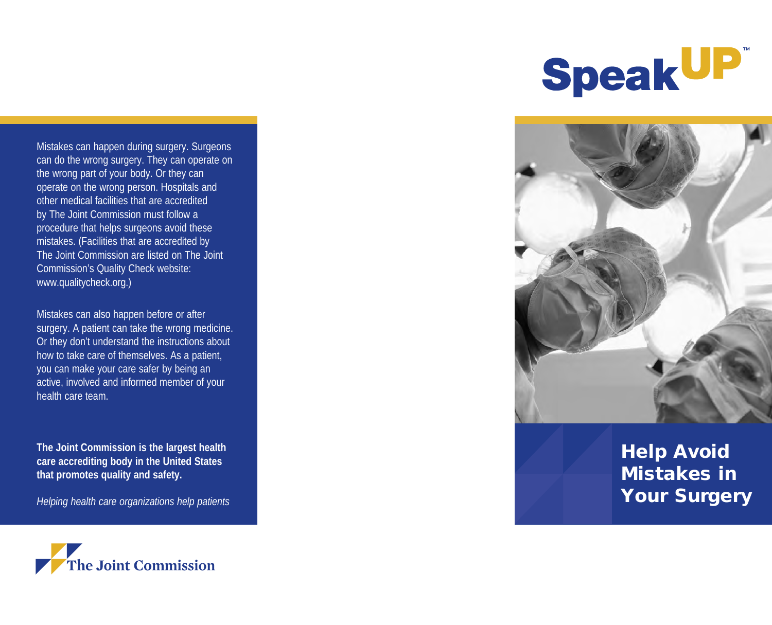

Mistakes can happen during surgery. Surgeons can do the wrong surgery. They can operate on the wrong part of your body. Or they can operate on the wrong person. Hospitals and other medical facilities that are accredited by The Joint Commission must follow a procedure that helps surgeons avoid these mistakes. (Facilities that are accredited by The Joint Commission are listed on The Joint Commission's Quality Check website: www.qualitycheck.org.)

Mistakes can also happen before or after surgery. A patient can take the wrong medicine. Or they don't understand the instructions about how to take care of themselves. As a patient, you can make your care safer by being an active, involved and informed member of your health care team.

**The Joint Commission is the largest health care accrediting body in the United States that promotes quality and safety.**

*Helping health care organizations help patients*





# Help Avoid Mistakes in Your Surgery